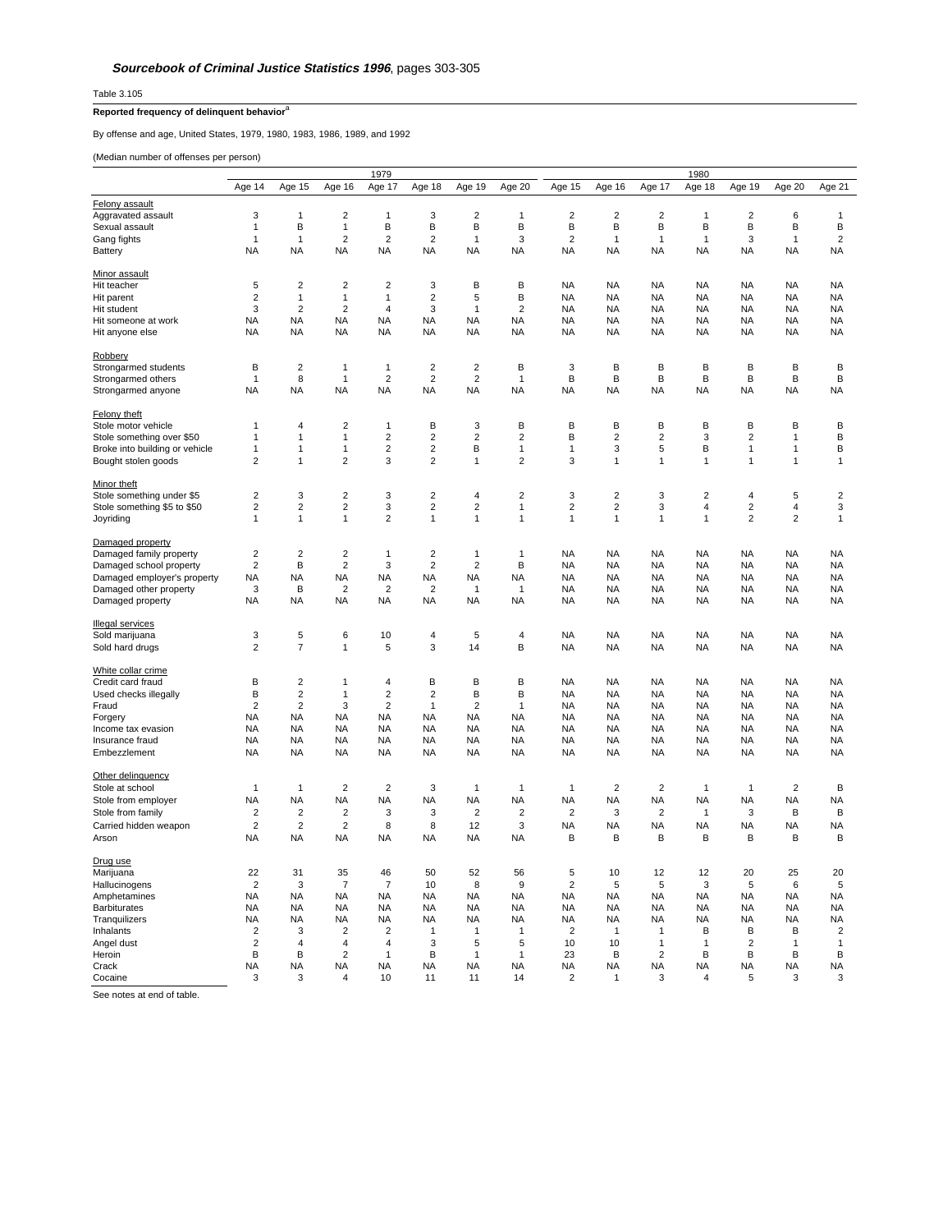Table 3.105

## **Reported frequency of delinquent behavior**<sup>a</sup>

By offense and age, United States, 1979, 1980, 1983, 1986, 1989, and 1992

(Median number of offenses per person)

|                                                             |                         | 1979                             |                              |                                  |                                           |                         |                   |                         | 1980                   |                         |                        |                        |                              |                         |  |
|-------------------------------------------------------------|-------------------------|----------------------------------|------------------------------|----------------------------------|-------------------------------------------|-------------------------|-------------------|-------------------------|------------------------|-------------------------|------------------------|------------------------|------------------------------|-------------------------|--|
|                                                             | Age 14                  | Age 15                           | Age 16                       | Age 17                           | Age 18                                    | Age 19                  | Age 20            | Age 15                  | Age 16                 | Age 17                  | Age 18                 | Age 19                 | Age 20                       | Age 21                  |  |
| Felony assault                                              |                         |                                  |                              |                                  |                                           |                         |                   |                         |                        |                         |                        |                        |                              |                         |  |
| Aggravated assault                                          | 3                       | $\mathbf{1}$                     | $\overline{2}$               | 1                                | 3                                         | $\overline{2}$          | 1                 | $\overline{2}$          | $\overline{2}$         | $\overline{2}$          | 1                      | $\overline{2}$         | 6                            | 1                       |  |
| Sexual assault                                              | $\mathbf{1}$            | B                                | $\mathbf{1}$                 | B                                | B                                         | B                       | B                 | B                       | B                      | B                       | B                      | B                      | B                            | B                       |  |
| Gang fights                                                 | 1                       | $\mathbf{1}$                     | $\overline{2}$               | $\boldsymbol{2}$                 | $\overline{2}$                            | 1                       | 3                 | $\overline{\mathbf{c}}$ | $\mathbf{1}$           | 1                       | 1                      | 3                      | 1                            | $\boldsymbol{2}$        |  |
| Battery                                                     | <b>NA</b>               | <b>NA</b>                        | <b>NA</b>                    | <b>NA</b>                        | <b>NA</b>                                 | <b>NA</b>               | <b>NA</b>         | <b>NA</b>               | <b>NA</b>              | <b>NA</b>               | <b>NA</b>              | <b>NA</b>              | <b>NA</b>                    | <b>NA</b>               |  |
|                                                             |                         |                                  |                              |                                  |                                           |                         |                   |                         |                        |                         |                        |                        |                              |                         |  |
| <b>Minor assault</b>                                        |                         |                                  |                              |                                  |                                           |                         |                   |                         |                        |                         |                        |                        |                              |                         |  |
| Hit teacher                                                 | 5                       | $\sqrt{2}$                       | $\sqrt{2}$                   | $\boldsymbol{2}$                 | 3                                         | B                       | B                 | <b>NA</b>               | <b>NA</b>              | NA                      | <b>NA</b>              | NA                     | <b>NA</b>                    | <b>NA</b>               |  |
| Hit parent                                                  | $\overline{2}$          | $\mathbf{1}$                     | $\mathbf{1}$                 | $\mathbf{1}$                     | $\overline{2}$                            | 5                       | B                 | <b>NA</b>               | <b>NA</b>              | <b>NA</b>               | <b>NA</b>              | <b>NA</b>              | <b>NA</b>                    | <b>NA</b>               |  |
| Hit student                                                 | 3                       | $\overline{2}$                   | $\overline{2}$               | $\overline{4}$                   | 3                                         | $\mathbf{1}$            | $\overline{2}$    | <b>NA</b>               | <b>NA</b>              | <b>NA</b>               | <b>NA</b>              | <b>NA</b>              | <b>NA</b>                    | <b>NA</b>               |  |
| Hit someone at work                                         | <b>NA</b>               | <b>NA</b>                        | <b>NA</b>                    | <b>NA</b>                        | NA                                        | ΝA                      | <b>NA</b>         | <b>NA</b>               | <b>NA</b>              | <b>NA</b>               | <b>NA</b>              | <b>NA</b>              | <b>NA</b>                    | <b>NA</b>               |  |
| Hit anyone else                                             | <b>NA</b>               | <b>NA</b>                        | NA                           | <b>NA</b>                        | NA                                        | NA                      | <b>NA</b>         | NA                      | NA                     | ΝA                      | <b>NA</b>              | NA                     | <b>NA</b>                    | NA                      |  |
|                                                             |                         |                                  |                              |                                  |                                           |                         |                   |                         |                        |                         |                        |                        |                              |                         |  |
| Robbery                                                     |                         |                                  |                              |                                  |                                           |                         |                   |                         |                        |                         |                        |                        |                              |                         |  |
| Strongarmed students                                        | В                       | $\mathbf 2$                      | $\mathbf{1}$                 | $\mathbf{1}$                     | $\overline{\mathbf{c}}$                   | $\overline{\mathbf{c}}$ | В                 | 3                       | B                      | B                       | B                      | B                      | B                            | В                       |  |
| Strongarmed others                                          | 1                       | 8                                | $\mathbf{1}$                 | $\overline{2}$                   | $\overline{2}$                            | $\overline{2}$          | $\mathbf{1}$      | B                       | В                      | B                       | B                      | B                      | B                            | B                       |  |
| Strongarmed anyone                                          | <b>NA</b>               | <b>NA</b>                        | <b>NA</b>                    | <b>NA</b>                        | <b>NA</b>                                 | <b>NA</b>               | <b>NA</b>         | <b>NA</b>               | <b>NA</b>              | <b>NA</b>               | <b>NA</b>              | <b>NA</b>              | <b>NA</b>                    | <b>NA</b>               |  |
|                                                             |                         |                                  |                              |                                  |                                           |                         |                   |                         |                        |                         |                        |                        |                              |                         |  |
| Felony theft                                                | 1                       | 4                                | $\overline{2}$               | $\mathbf{1}$                     | B                                         |                         | B                 | B                       | В                      | B                       | B                      | B                      | B                            | B                       |  |
| Stole motor vehicle                                         |                         |                                  |                              |                                  |                                           | 3<br>$\overline{c}$     | $\mathbf 2$       | B                       | $\mathbf 2$            | $\overline{c}$          |                        |                        |                              | B                       |  |
| Stole something over \$50<br>Broke into building or vehicle | 1<br>1                  | $\mathbf{1}$<br>$\mathbf{1}$     | $\mathbf{1}$<br>$\mathbf{1}$ | $\boldsymbol{2}$<br>$\mathbf 2$  | $\overline{\mathbf{c}}$<br>$\overline{2}$ | B                       | $\mathbf{1}$      | 1                       | 3                      | 5                       | 3<br>В                 | 2<br>1                 | $\mathbf{1}$<br>$\mathbf{1}$ | B                       |  |
| Bought stolen goods                                         | $\overline{2}$          | $\mathbf{1}$                     | $\overline{2}$               | 3                                | $\overline{2}$                            | $\mathbf{1}$            | $\overline{2}$    | 3                       | $\mathbf{1}$           | $\mathbf{1}$            | $\mathbf{1}$           | $\mathbf{1}$           | $\mathbf{1}$                 | $\mathbf{1}$            |  |
|                                                             |                         |                                  |                              |                                  |                                           |                         |                   |                         |                        |                         |                        |                        |                              |                         |  |
| Minor theft                                                 |                         |                                  |                              |                                  |                                           |                         |                   |                         |                        |                         |                        |                        |                              |                         |  |
| Stole something under \$5                                   | $\overline{\mathbf{c}}$ | 3                                | $\overline{\mathbf{c}}$      | 3                                | $\overline{2}$                            | 4                       | $\overline{2}$    | 3                       | $\overline{c}$         | 3                       | $\overline{2}$         | 4                      | 5                            | $\overline{\mathbf{c}}$ |  |
| Stole something \$5 to \$50                                 | $\overline{\mathbf{c}}$ | $\overline{2}$                   | $\overline{2}$               | 3                                | $\overline{\mathbf{c}}$                   | $\overline{\mathbf{c}}$ | $\mathbf{1}$      | $\overline{\mathbf{c}}$ | $\overline{c}$         | 3                       | $\overline{4}$         | $\overline{2}$         | $\sqrt{4}$                   | 3                       |  |
| Joyriding                                                   | $\mathbf{1}$            | $\mathbf{1}$                     | $\mathbf{1}$                 | $\overline{2}$                   | $\mathbf{1}$                              | $\mathbf{1}$            | $\mathbf{1}$      | $\mathbf{1}$            | $\mathbf{1}$           | 1                       | $\mathbf{1}$           | $\overline{2}$         | $\overline{2}$               | $\mathbf{1}$            |  |
|                                                             |                         |                                  |                              |                                  |                                           |                         |                   |                         |                        |                         |                        |                        |                              |                         |  |
| Damaged property                                            |                         |                                  |                              |                                  |                                           |                         |                   |                         |                        |                         |                        |                        |                              |                         |  |
| Damaged family property                                     | $\overline{\mathbf{c}}$ | $\sqrt{2}$                       | $\overline{2}$               | $\mathbf{1}$                     | $\overline{2}$                            | 1                       | 1                 | <b>NA</b>               | <b>NA</b>              | <b>NA</b>               | <b>NA</b>              | <b>NA</b>              | <b>NA</b>                    | <b>NA</b>               |  |
| Damaged school property                                     | $\overline{2}$          | В                                | $\overline{2}$               | 3                                | $\overline{2}$                            | $\overline{\mathbf{c}}$ | В                 | NA                      | <b>NA</b>              | ΝA                      | <b>NA</b>              | <b>NA</b>              | <b>NA</b>                    | <b>NA</b>               |  |
| Damaged employer's property                                 | <b>NA</b>               | <b>NA</b>                        | <b>NA</b>                    | <b>NA</b>                        | <b>NA</b>                                 | <b>NA</b>               | <b>NA</b>         | <b>NA</b>               | <b>NA</b>              | <b>NA</b>               | <b>NA</b>              | <b>NA</b>              | <b>NA</b>                    | <b>NA</b>               |  |
| Damaged other property                                      | 3                       | B                                | $\overline{2}$               | $\overline{2}$                   | $\overline{2}$                            | $\mathbf{1}$            | $\mathbf{1}$      | <b>NA</b>               | <b>NA</b>              | <b>NA</b>               | <b>NA</b>              | <b>NA</b>              | <b>NA</b>                    | <b>NA</b>               |  |
| Damaged property                                            | NA                      | <b>NA</b>                        | <b>NA</b>                    | <b>NA</b>                        | <b>NA</b>                                 | <b>NA</b>               | <b>NA</b>         | <b>NA</b>               | <b>NA</b>              | <b>NA</b>               | <b>NA</b>              | <b>NA</b>              | <b>NA</b>                    | <b>NA</b>               |  |
|                                                             |                         |                                  |                              |                                  |                                           |                         |                   |                         |                        |                         |                        |                        |                              |                         |  |
| <b>Illegal services</b>                                     |                         |                                  |                              |                                  |                                           |                         |                   |                         |                        |                         |                        |                        |                              |                         |  |
| Sold marijuana                                              | 3                       | 5                                | 6                            | 10                               | 4                                         | 5                       | $\overline{4}$    | <b>NA</b>               | <b>NA</b>              | <b>NA</b>               | <b>NA</b>              | <b>NA</b>              | <b>NA</b>                    | <b>NA</b>               |  |
| Sold hard drugs                                             | $\overline{2}$          | $\overline{7}$                   | 1                            | 5                                | 3                                         | 14                      | B                 | <b>NA</b>               | <b>NA</b>              | <b>NA</b>               | <b>NA</b>              | <b>NA</b>              | <b>NA</b>                    | <b>NA</b>               |  |
|                                                             |                         |                                  |                              |                                  |                                           |                         |                   |                         |                        |                         |                        |                        |                              |                         |  |
| White collar crime                                          |                         |                                  |                              |                                  |                                           |                         |                   |                         |                        |                         |                        |                        |                              |                         |  |
| Credit card fraud                                           | B                       | $\boldsymbol{2}$                 | $\mathbf{1}$                 | $\overline{\mathbf{4}}$          | B                                         | B                       | B                 | <b>NA</b>               | <b>NA</b>              | <b>NA</b>               | <b>NA</b>              | <b>NA</b>              | <b>NA</b>                    | <b>NA</b>               |  |
| Used checks illegally<br>Fraud                              | B<br>$\overline{2}$     | $\overline{2}$<br>$\overline{2}$ | $\mathbf{1}$<br>3            | $\overline{2}$<br>$\overline{2}$ | $\overline{2}$<br>1                       | B<br>$\overline{2}$     | В<br>$\mathbf{1}$ | <b>NA</b><br><b>NA</b>  | <b>NA</b><br><b>NA</b> | <b>NA</b><br><b>NA</b>  | <b>NA</b><br><b>NA</b> | <b>NA</b><br><b>NA</b> | <b>NA</b><br><b>NA</b>       | <b>NA</b><br><b>NA</b>  |  |
|                                                             | <b>NA</b>               | <b>NA</b>                        | <b>NA</b>                    | <b>NA</b>                        |                                           | <b>NA</b>               | <b>NA</b>         | <b>NA</b>               | <b>NA</b>              | <b>NA</b>               | <b>NA</b>              | <b>NA</b>              | <b>NA</b>                    | <b>NA</b>               |  |
| Forgery<br>Income tax evasion                               | <b>NA</b>               | <b>NA</b>                        | NA                           | NA                               | NA<br>NA                                  | NA                      | <b>NA</b>         | NA                      | NA                     | NA                      | <b>NA</b>              | NA                     | <b>NA</b>                    | NA                      |  |
| Insurance fraud                                             | <b>NA</b>               | <b>NA</b>                        | <b>NA</b>                    | <b>NA</b>                        | <b>NA</b>                                 | <b>NA</b>               | <b>NA</b>         | <b>NA</b>               | <b>NA</b>              | <b>NA</b>               | <b>NA</b>              | <b>NA</b>              | <b>NA</b>                    | <b>NA</b>               |  |
| Embezzlement                                                | <b>NA</b>               | <b>NA</b>                        | <b>NA</b>                    | <b>NA</b>                        | <b>NA</b>                                 | <b>NA</b>               | <b>NA</b>         | <b>NA</b>               | <b>NA</b>              | <b>NA</b>               | <b>NA</b>              | <b>NA</b>              | <b>NA</b>                    | <b>NA</b>               |  |
|                                                             |                         |                                  |                              |                                  |                                           |                         |                   |                         |                        |                         |                        |                        |                              |                         |  |
| Other delinquency                                           |                         |                                  |                              |                                  |                                           |                         |                   |                         |                        |                         |                        |                        |                              |                         |  |
| Stole at school                                             | 1                       | $\mathbf{1}$                     | $\overline{c}$               | $\overline{2}$                   | 3                                         | 1                       | 1                 | 1                       | $\sqrt{2}$             | $\overline{c}$          | $\mathbf{1}$           | 1                      | $\sqrt{2}$                   | B                       |  |
| Stole from employer                                         | <b>NA</b>               | <b>NA</b>                        | <b>NA</b>                    | <b>NA</b>                        | <b>NA</b>                                 | <b>NA</b>               | <b>NA</b>         | <b>NA</b>               | NA                     | <b>NA</b>               | <b>NA</b>              | <b>NA</b>              | <b>NA</b>                    | <b>NA</b>               |  |
| Stole from family                                           | $\overline{\mathbf{c}}$ | $\sqrt{2}$                       | $\overline{c}$               | 3                                | 3                                         | $\sqrt{2}$              | $\sqrt{2}$        | $\mathbf 2$             | 3                      | $\overline{\mathbf{c}}$ | 1                      | 3                      | B                            | B                       |  |
| Carried hidden weapon                                       | $\overline{2}$          | 2                                | $\overline{2}$               | 8                                | 8                                         | 12                      | 3                 | <b>NA</b>               | <b>NA</b>              | <b>NA</b>               | <b>NA</b>              | <b>NA</b>              | <b>NA</b>                    | <b>NA</b>               |  |
| Arson                                                       | NA                      | <b>NA</b>                        | NA                           | NA                               | <b>NA</b>                                 | <b>NA</b>               | NA                | B                       | B                      | B                       | B                      | B                      | B                            | B                       |  |
|                                                             |                         |                                  |                              |                                  |                                           |                         |                   |                         |                        |                         |                        |                        |                              |                         |  |
| Drug use                                                    |                         |                                  |                              |                                  |                                           |                         |                   |                         |                        |                         |                        |                        |                              |                         |  |
| Marijuana                                                   | 22                      | 31                               | 35                           | 46                               | 50                                        | 52                      | 56                | 5                       | 10                     | 12                      | 12                     | 20                     | 25                           | 20                      |  |
| Hallucinogens                                               | $\overline{\mathbf{c}}$ | 3                                | $\overline{7}$               | 7                                | 10                                        | 8                       | 9                 | $\mathbf 2$             | 5                      | 5                       | 3                      | 5                      | $\,6\,$                      | 5                       |  |
| Amphetamines                                                | <b>NA</b>               | <b>NA</b>                        | <b>NA</b>                    | <b>NA</b>                        | <b>NA</b>                                 | <b>NA</b>               | <b>NA</b>         | <b>NA</b>               | <b>NA</b>              | <b>NA</b>               | <b>NA</b>              | <b>NA</b>              | <b>NA</b>                    | <b>NA</b>               |  |
| Barbiturates                                                | <b>NA</b>               | <b>NA</b>                        | <b>NA</b>                    | <b>NA</b>                        | <b>NA</b>                                 | <b>NA</b>               | <b>NA</b>         | <b>NA</b>               | <b>NA</b>              | <b>NA</b>               | <b>NA</b>              | <b>NA</b>              | <b>NA</b>                    | <b>NA</b>               |  |
| Tranquilizers                                               | <b>NA</b>               | <b>NA</b>                        | NA                           | NA                               | <b>NA</b>                                 | NA                      | NA                | <b>NA</b>               | <b>NA</b>              | ΝA                      | <b>NA</b>              | <b>NA</b>              | <b>NA</b>                    | <b>NA</b>               |  |
| Inhalants                                                   | $\overline{2}$          | 3                                | $\overline{2}$               | $\overline{2}$                   | 1                                         | 1                       | $\mathbf{1}$      | $\overline{2}$          | $\mathbf{1}$           | 1                       | B                      | B                      | B                            | $\overline{2}$          |  |
| Angel dust                                                  | $\overline{2}$          | $\overline{4}$                   | $\overline{4}$               | $\overline{4}$                   | 3                                         | 5                       | 5                 | 10                      | 10                     | $\mathbf{1}$            | $\mathbf{1}$           | $\overline{2}$         | $\mathbf{1}$                 | $\mathbf{1}$            |  |
| Heroin                                                      | В                       | B                                | $\overline{2}$               | $\mathbf{1}$                     | в                                         | 1                       | 1                 | 23                      | В                      | $\overline{\mathbf{c}}$ | В                      | В                      | В                            | В                       |  |
| Crack                                                       | ΝA                      | <b>NA</b>                        | NA                           | NA                               | ΝA                                        | NA                      | NA                | NA                      | NA                     | ΝA                      | NA                     | NA                     | <b>NA</b>                    | NA                      |  |
| Cocaine                                                     | 3                       | 3                                | $\overline{\mathbf{A}}$      | 10                               | 11                                        | 11                      | 14                | $\mathfrak{p}$          | 1                      | 3                       | 4                      | 5                      | 3                            | 3                       |  |

See notes at end of table.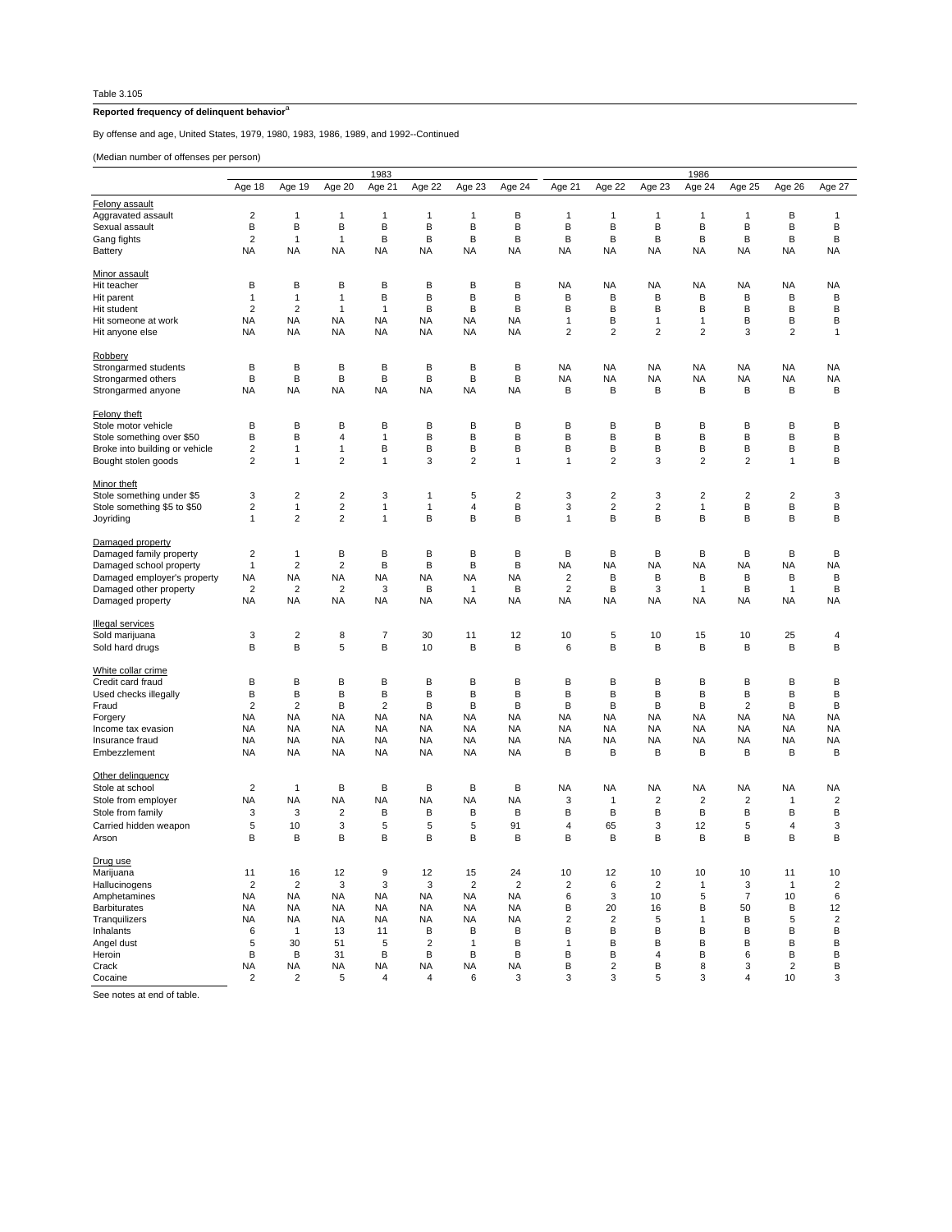## **Reported frequency of delinquent behavior**<sup>a</sup>

By offense and age, United States, 1979, 1980, 1983, 1986, 1989, and 1992--Continued

(Median number of offenses per person)

|                                |                         | 1983                           |                                           |                         |                   |                  |                  |                         | 1986                         |                     |                         |                         |                         |                         |  |  |
|--------------------------------|-------------------------|--------------------------------|-------------------------------------------|-------------------------|-------------------|------------------|------------------|-------------------------|------------------------------|---------------------|-------------------------|-------------------------|-------------------------|-------------------------|--|--|
|                                | Age 18                  | Age 19                         | Age 20                                    | Age 21                  | Age 22            | Age 23           | Age 24           | Age 21                  | Age 22                       | Age 23              | Age 24                  | Age 25                  | Age 26                  | Age 27                  |  |  |
| Felony assault                 |                         |                                |                                           |                         |                   |                  |                  |                         |                              |                     |                         |                         |                         |                         |  |  |
| Aggravated assault             | 2                       | 1                              | 1                                         | 1                       | 1                 | 1                | в                | 1                       | 1                            | $\mathbf{1}$        | $\mathbf{1}$            | $\mathbf{1}$            | В                       | $\mathbf{1}$            |  |  |
| Sexual assault                 | В                       | B                              | В                                         | B                       | В                 | B                | B                | B                       | B                            | В                   | B                       | В                       | B                       | B                       |  |  |
| Gang fights                    | $\overline{2}$          | 1                              | 1                                         | B                       | В                 | в                | B                | в                       | В                            | в                   | B                       | В                       | B                       | B                       |  |  |
| Battery                        | <b>NA</b>               | <b>NA</b>                      | <b>NA</b>                                 | <b>NA</b>               | <b>NA</b>         | <b>NA</b>        | <b>NA</b>        | <b>NA</b>               | <b>NA</b>                    | <b>NA</b>           | <b>NA</b>               | <b>NA</b>               | <b>NA</b>               | <b>NA</b>               |  |  |
|                                |                         |                                |                                           |                         |                   |                  |                  |                         |                              |                     |                         |                         |                         |                         |  |  |
| Minor assault                  |                         |                                |                                           |                         |                   |                  |                  |                         |                              |                     |                         |                         |                         |                         |  |  |
| Hit teacher                    | В                       | В                              | в                                         | B                       | В                 | B                | В                | NA                      | <b>NA</b>                    | NA                  | NA                      | <b>NA</b>               | NA                      | <b>NA</b>               |  |  |
| Hit parent                     | $\overline{1}$          | $\mathbf{1}$                   | 1                                         | B                       | В                 | В                | B                | B                       | B                            | В                   | B                       | В                       | B                       | B                       |  |  |
| Hit student                    | $\overline{2}$          | 2                              | 1                                         | $\mathbf{1}$            | B                 | в                | B                | В                       | B                            | в                   | B                       | В                       | B                       | B                       |  |  |
| Hit someone at work            | <b>NA</b>               | <b>NA</b>                      | <b>NA</b>                                 | <b>NA</b>               | <b>NA</b>         | <b>NA</b>        | <b>NA</b>        | $\mathbf{1}$            | B                            | $\overline{1}$      | $\mathbf{1}$            | В                       | B                       | B                       |  |  |
| Hit anyone else                | <b>NA</b>               | NA                             | <b>NA</b>                                 | <b>NA</b>               | <b>NA</b>         | NA               | <b>NA</b>        | 2                       | $\overline{c}$               | 2                   | 2                       | 3                       | 2                       | $\mathbf{1}$            |  |  |
| Robbery                        |                         |                                |                                           |                         |                   |                  |                  |                         |                              |                     |                         |                         |                         |                         |  |  |
| Strongarmed students           | В                       | B                              | B                                         | B                       | В                 | B                | B                | <b>NA</b>               | <b>NA</b>                    | <b>NA</b>           | <b>NA</b>               | <b>NA</b>               | <b>NA</b>               | <b>NA</b>               |  |  |
| Strongarmed others             | B                       | B                              | в                                         | B                       | B                 | B                | B                | NA                      | NA                           | ΝA                  | NA                      | <b>NA</b>               | NA                      | NA                      |  |  |
| Strongarmed anyone             | <b>NA</b>               | <b>NA</b>                      | <b>NA</b>                                 | <b>NA</b>               | <b>NA</b>         | <b>NA</b>        | <b>NA</b>        | B                       | B                            | В                   | B                       | B                       | B                       | B                       |  |  |
|                                |                         |                                |                                           |                         |                   |                  |                  |                         |                              |                     |                         |                         |                         |                         |  |  |
| Felony theft                   |                         |                                |                                           |                         |                   |                  |                  |                         |                              |                     |                         |                         |                         |                         |  |  |
| Stole motor vehicle            | B                       | В                              | В                                         | B                       | B                 | B                | B                | B                       | В                            | в                   | В                       | в                       | B                       | В                       |  |  |
| Stole something over \$50      | B                       | B                              | 4                                         | $\mathbf{1}$            | B                 | B                | B                | B                       | B                            | В                   | B                       | В                       | B                       | B                       |  |  |
| Broke into building or vehicle | $\overline{\mathbf{c}}$ | 1                              | 1                                         | B                       | B                 | B                | B                | В                       | В                            | В                   | В                       | В                       | B                       | B                       |  |  |
| Bought stolen goods            | $\overline{2}$          | 1                              | $\overline{2}$                            | $\mathbf{1}$            | 3                 | $\overline{2}$   | $\mathbf{1}$     | $\mathbf{1}$            | $\overline{2}$               | 3                   | $\overline{2}$          | $\overline{2}$          | $\mathbf{1}$            | B                       |  |  |
|                                |                         |                                |                                           |                         |                   |                  |                  |                         |                              |                     |                         |                         |                         |                         |  |  |
| Minor theft                    |                         |                                |                                           |                         |                   |                  |                  |                         |                              |                     |                         |                         |                         |                         |  |  |
| Stole something under \$5      | 3                       | 2                              | 2                                         | 3                       | 1                 | 5                | 2                | 3                       | 2                            | 3                   | $\overline{\mathbf{c}}$ | 2                       | $\overline{\mathbf{c}}$ | 3                       |  |  |
| Stole something \$5 to \$50    | 2<br>$\mathbf{1}$       | $\mathbf{1}$<br>$\overline{2}$ | $\overline{\mathbf{c}}$<br>$\overline{2}$ | $\mathbf{1}$            | $\mathbf{1}$<br>В | $\sqrt{4}$<br>B  | B<br>B           | 3                       | $\overline{\mathbf{c}}$<br>B | $\overline{2}$<br>В | $\mathbf{1}$<br>B       | В<br>В                  | B<br>B                  | B                       |  |  |
| Joyriding                      |                         |                                |                                           | 1                       |                   |                  |                  | 1                       |                              |                     |                         |                         |                         | В                       |  |  |
| Damaged property               |                         |                                |                                           |                         |                   |                  |                  |                         |                              |                     |                         |                         |                         |                         |  |  |
| Damaged family property        | $\overline{2}$          | 1                              | В                                         | B                       | В                 | B                | B                | B                       | B                            | В                   | B                       | В                       | B                       | B                       |  |  |
| Damaged school property        | $\mathbf{1}$            | $\overline{\mathbf{c}}$        | 2                                         | B                       | В                 | B                | В                | NA                      | NA                           | NA                  | NA                      | <b>NA</b>               | NA                      | <b>NA</b>               |  |  |
| Damaged employer's property    | <b>NA</b>               | <b>NA</b>                      | <b>NA</b>                                 | <b>NA</b>               | <b>NA</b>         | <b>NA</b>        | <b>NA</b>        | $\overline{\mathbf{c}}$ | B                            | В                   | B                       | В                       | B                       | B                       |  |  |
| Damaged other property         | $\overline{2}$          | $\overline{\mathbf{c}}$        | $\overline{\mathbf{c}}$                   | 3                       | B                 | $\mathbf{1}$     | B                | $\overline{\mathbf{c}}$ | B                            | 3                   | $\mathbf{1}$            | В                       | $\mathbf{1}$            | B                       |  |  |
| Damaged property               | <b>NA</b>               | <b>NA</b>                      | <b>NA</b>                                 | <b>NA</b>               | <b>NA</b>         | <b>NA</b>        | <b>NA</b>        | <b>NA</b>               | <b>NA</b>                    | <b>NA</b>           | <b>NA</b>               | <b>NA</b>               | <b>NA</b>               | <b>NA</b>               |  |  |
|                                |                         |                                |                                           |                         |                   |                  |                  |                         |                              |                     |                         |                         |                         |                         |  |  |
| <b>Illegal services</b>        |                         |                                |                                           |                         |                   |                  |                  |                         |                              |                     |                         |                         |                         |                         |  |  |
| Sold marijuana                 | 3                       | $\overline{\mathbf{c}}$        | 8                                         | 7                       | 30                | 11               | 12               | 10                      | 5                            | 10                  | 15                      | 10                      | 25                      | 4                       |  |  |
| Sold hard drugs                | B                       | B                              | 5                                         | B                       | 10                | B                | B                | 6                       | B                            | В                   | B                       | В                       | B                       | B                       |  |  |
| White collar crime             |                         |                                |                                           |                         |                   |                  |                  |                         |                              |                     |                         |                         |                         |                         |  |  |
| Credit card fraud              | в                       | в                              | B                                         | В                       | в                 | в                | В                | B                       | В                            | в                   | В                       | в                       | B                       | В                       |  |  |
| Used checks illegally          | В                       | B                              | В                                         | B                       | В                 | B                | B                | В                       | B                            | В                   | B                       | В                       | B                       | B                       |  |  |
| Fraud                          | $\overline{\mathbf{c}}$ | $\overline{\mathbf{c}}$        | В                                         | $\overline{\mathbf{c}}$ | В                 | B                | B                | в                       | B                            | В                   | B                       | $\overline{\mathbf{c}}$ | B                       | B                       |  |  |
| Forgery                        | <b>NA</b>               | <b>NA</b>                      | <b>NA</b>                                 | <b>NA</b>               | <b>NA</b>         | <b>NA</b>        | <b>NA</b>        | <b>NA</b>               | <b>NA</b>                    | <b>NA</b>           | <b>NA</b>               | <b>NA</b>               | <b>NA</b>               | <b>NA</b>               |  |  |
| Income tax evasion             | <b>NA</b>               | <b>NA</b>                      | NA                                        | <b>NA</b>               | <b>NA</b>         | NA               | <b>NA</b>        | NA                      | <b>NA</b>                    | NA                  | NA                      | <b>NA</b>               | NA                      | <b>NA</b>               |  |  |
| Insurance fraud                | <b>NA</b>               | <b>NA</b>                      | <b>NA</b>                                 | <b>NA</b>               | <b>NA</b>         | <b>NA</b>        | <b>NA</b>        | <b>NA</b>               | <b>NA</b>                    | <b>NA</b>           | <b>NA</b>               | <b>NA</b>               | <b>NA</b>               | <b>NA</b>               |  |  |
| Embezzlement                   | <b>NA</b>               | NA                             | <b>NA</b>                                 | <b>NA</b>               | NA                | NA               | <b>NA</b>        | В                       | В                            | В                   | в                       | В                       | в                       | в                       |  |  |
|                                |                         |                                |                                           |                         |                   |                  |                  |                         |                              |                     |                         |                         |                         |                         |  |  |
| Other delinquency              |                         |                                |                                           |                         |                   |                  |                  |                         |                              |                     |                         |                         |                         |                         |  |  |
| Stole at school                | $\overline{2}$          | 1                              | B                                         | B                       | В                 | B                | B                | NA                      | NA                           | NA                  | <b>NA</b>               | NA                      | NA                      | <b>NA</b>               |  |  |
| Stole from employer            | NA                      | NA                             | <b>NA</b>                                 | <b>NA</b>               | NA                | NA               | <b>NA</b>        | 3                       | $\mathbf{1}$                 | $\overline{c}$      | $\overline{2}$          | 2                       | 1                       | $\overline{\mathbf{c}}$ |  |  |
| Stole from family              | 3                       | 3                              | $\overline{\mathbf{c}}$                   | B                       | В                 | B                | B                | в                       | B                            | В                   | В                       | В                       | B                       | B                       |  |  |
| Carried hidden weapon          | 5                       | 10                             | 3                                         | 5                       | 5                 | 5                | 91               | 4                       | 65                           | 3                   | 12                      | 5                       | 4                       | 3                       |  |  |
| Arson                          | B                       | B                              | в                                         | B                       | B                 | B                | В                | B                       | B                            | B                   | B                       | B                       | в                       | B                       |  |  |
|                                |                         |                                |                                           |                         |                   |                  |                  |                         |                              |                     |                         |                         |                         |                         |  |  |
| Drug use<br>Marijuana          |                         |                                | 12                                        | 9                       |                   |                  |                  |                         | 12                           | 10                  |                         |                         | 11                      |                         |  |  |
| Hallucinogens                  | 11<br>$\overline{2}$    | 16<br>$\overline{\mathbf{c}}$  | $\ensuremath{\mathsf{3}}$                 | 3                       | 12<br>3           | 15<br>$\sqrt{2}$ | 24<br>$\sqrt{2}$ | 10<br>$\sqrt{2}$        | 6                            | $\overline{2}$      | 10<br>$\mathbf{1}$      | 10<br>3                 | $\mathbf{1}$            | 10<br>$\sqrt{2}$        |  |  |
| Amphetamines                   | <b>NA</b>               | NA                             | <b>NA</b>                                 | <b>NA</b>               | <b>NA</b>         | NA               | NA               | 6                       | 3                            | 10                  | 5                       | $\overline{7}$          | 10                      | $\,6\,$                 |  |  |
| <b>Barbiturates</b>            | <b>NA</b>               | <b>NA</b>                      | <b>NA</b>                                 | <b>NA</b>               | NA                | NA               | <b>NA</b>        | B                       | 20                           | 16                  | B                       | 50                      | B                       | 12                      |  |  |
| Tranquilizers                  | NA                      | NA                             | <b>NA</b>                                 | <b>NA</b>               | NA                | NA               | <b>NA</b>        | $\overline{c}$          | $\overline{\mathbf{c}}$      | 5                   | $\mathbf{1}$            | B                       | 5                       | $\overline{c}$          |  |  |
| Inhalants                      | 6                       | $\mathbf{1}$                   | 13                                        | 11                      | B                 | В                | B                | B                       | B                            | В                   | B                       | B                       | B                       | B                       |  |  |
| Angel dust                     | $\sqrt{5}$              | 30                             | 51                                        | $\sqrt{5}$              | $\overline{2}$    | $\mathbf{1}$     | B                | 1                       | B                            | В                   | B                       | B                       | B                       | B                       |  |  |
| Heroin                         | B                       | B                              | 31                                        | B                       | В                 | B                | B                | B                       | В                            | 4                   | В                       | 6                       | B                       | В                       |  |  |
| Crack                          | <b>NA</b>               | <b>NA</b>                      | NA                                        | NA                      | NA                | NA               | <b>NA</b>        | B                       | $\overline{c}$               | в                   | 8                       | 3                       | $\sqrt{2}$              | B                       |  |  |
| Cocaine                        | $\overline{2}$          | $\overline{\mathbf{c}}$        | 5                                         | 4                       | 4                 | 6                | 3                | 3                       | 3                            | 5                   | 3                       | $\overline{4}$          | 10                      | 3                       |  |  |

See notes at end of table.